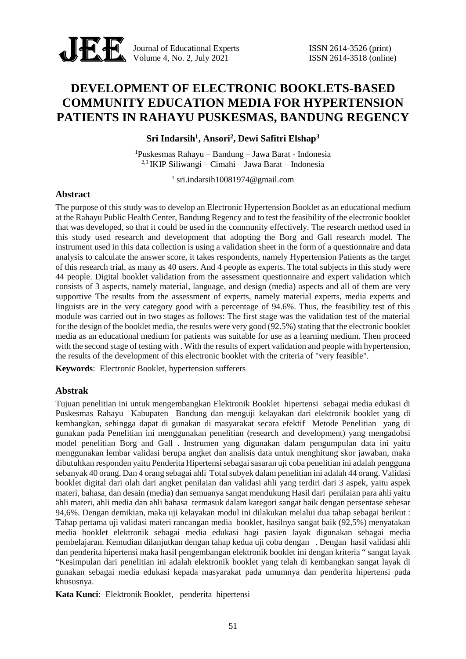

Journal of Educational Experts ISSN 2614-3526 (print) Volume 4, No. 2, July 2021 **ISSN** 2614-3518 (online)

# **DEVELOPMENT OF ELECTRONIC BOOKLETS-BASED COMMUNITY EDUCATION MEDIA FOR HYPERTENSION PATIENTS IN RAHAYU PUSKESMAS, BANDUNG REGENCY**

**Sri Indarsih<sup>1</sup> , Ansori<sup>2</sup> , Dewi Safitri Elshap<sup>3</sup>**

<sup>1</sup>Puskesmas Rahayu – Bandung – Jawa Barat - Indonesia 2,3 IKIP Siliwangi – Cimahi – Jawa Barat – Indonesia

 $1$  sri.indarsih $10081974$ @gmail.com

#### **Abstract**

The purpose of this study was to develop an Electronic Hypertension Booklet as an educational medium at the Rahayu Public Health Center, Bandung Regency and to test the feasibility of the electronic booklet that was developed, so that it could be used in the community effectively. The research method used in this study used research and development that adopting the Borg and Gall research model. The instrument used in this data collection is using a validation sheet in the form of a questionnaire and data analysis to calculate the answer score, it takes respondents, namely Hypertension Patients as the target of this research trial, as many as 40 users. And 4 people as experts. The total subjects in this study were 44 people. Digital booklet validation from the assessment questionnaire and expert validation which consists of 3 aspects, namely material, language, and design (media) aspects and all of them are very supportive The results from the assessment of experts, namely material experts, media experts and linguists are in the very category good with a percentage of 94.6%. Thus, the feasibility test of this module was carried out in two stages as follows: The first stage was the validation test of the material for the design of the booklet media, the results were very good (92.5%) stating that the electronic booklet media as an educational medium for patients was suitable for use as a learning medium. Then proceed with the second stage of testing with . With the results of expert validation and people with hypertension, the results of the development of this electronic booklet with the criteria of "very feasible".

**Keywords**: Electronic Booklet, hypertension sufferers

#### **Abstrak**

Tujuan penelitian ini untuk mengembangkan Elektronik Booklet hipertensi sebagai media edukasi di Puskesmas Rahayu Kabupaten Bandung dan menguji kelayakan dari elektronik booklet yang di kembangkan, sehingga dapat di gunakan di masyarakat secara efektif Metode Penelitian yang di gunakan pada Penelitian ini menggunakan penelitian (research and development) yang mengadobsi model penelitian Borg and Gall . Instrumen yang digunakan dalam pengumpulan data ini yaitu menggunakan lembar validasi berupa angket dan analisis data untuk menghitung skor jawaban, maka dibutuhkan responden yaitu Penderita Hipertensi sebagai sasaran uji coba penelitian ini adalah pengguna sebanyak 40 orang. Dan 4 orang sebagai ahli Total subyek dalam penelitian ini adalah 44 orang. Validasi booklet digital dari olah dari angket penilaian dan validasi ahli yang terdiri dari 3 aspek, yaitu aspek materi, bahasa, dan desain (media) dan semuanya sangat mendukung Hasil dari penilaian para ahli yaitu ahli materi, ahli media dan ahli bahasa termasuk dalam kategori sangat baik dengan persentase sebesar 94,6%. Dengan demikian, maka uji kelayakan modul ini dilakukan melalui dua tahap sebagai berikut : Tahap pertama uji validasi materi rancangan media booklet, hasilnya sangat baik (92,5%) menyatakan media booklet elektronik sebagai media edukasi bagi pasien layak digunakan sebagai media pembelajaran. Kemudian dilanjutkan dengan tahap kedua uji coba dengan . Dengan hasil validasi ahli dan penderita hipertensi maka hasil pengembangan elektronik booklet ini dengan kriteria " sangat layak "Kesimpulan dari penelitian ini adalah elektronik booklet yang telah di kembangkan sangat layak di gunakan sebagai media edukasi kepada masyarakat pada umumnya dan penderita hipertensi pada khususnya.

**Kata Kunci**: Elektronik Booklet, penderita hipertensi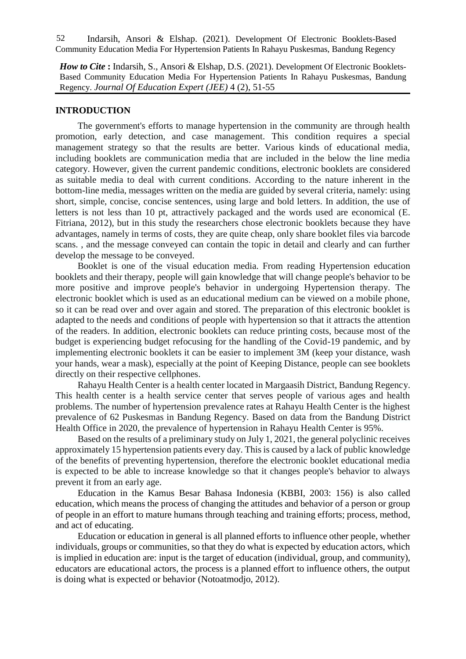Indarsih, Ansori & Elshap. (2021). Development Of Electronic Booklets-Based Community Education Media For Hypertension Patients In Rahayu Puskesmas, Bandung Regency 52

*How to Cite* : Indarsih, S., Ansori & Elshap, D.S. (2021). Development Of Electronic Booklets-Based Community Education Media For Hypertension Patients In Rahayu Puskesmas, Bandung Regency. *Journal Of Education Expert (JEE)* 4 (2), 51-55

## **INTRODUCTION**

The government's efforts to manage hypertension in the community are through health promotion, early detection, and case management. This condition requires a special management strategy so that the results are better. Various kinds of educational media, including booklets are communication media that are included in the below the line media category. However, given the current pandemic conditions, electronic booklets are considered as suitable media to deal with current conditions. According to the nature inherent in the bottom-line media, messages written on the media are guided by several criteria, namely: using short, simple, concise, concise sentences, using large and bold letters. In addition, the use of letters is not less than 10 pt, attractively packaged and the words used are economical (E. Fitriana, 2012), but in this study the researchers chose electronic booklets because they have advantages, namely in terms of costs, they are quite cheap, only share booklet files via barcode scans. , and the message conveyed can contain the topic in detail and clearly and can further develop the message to be conveyed.

Booklet is one of the visual education media. From reading Hypertension education booklets and their therapy, people will gain knowledge that will change people's behavior to be more positive and improve people's behavior in undergoing Hypertension therapy. The electronic booklet which is used as an educational medium can be viewed on a mobile phone, so it can be read over and over again and stored. The preparation of this electronic booklet is adapted to the needs and conditions of people with hypertension so that it attracts the attention of the readers. In addition, electronic booklets can reduce printing costs, because most of the budget is experiencing budget refocusing for the handling of the Covid-19 pandemic, and by implementing electronic booklets it can be easier to implement 3M (keep your distance, wash your hands, wear a mask), especially at the point of Keeping Distance, people can see booklets directly on their respective cellphones.

Rahayu Health Center is a health center located in Margaasih District, Bandung Regency. This health center is a health service center that serves people of various ages and health problems. The number of hypertension prevalence rates at Rahayu Health Center is the highest prevalence of 62 Puskesmas in Bandung Regency. Based on data from the Bandung District Health Office in 2020, the prevalence of hypertension in Rahayu Health Center is 95%.

Based on the results of a preliminary study on July 1, 2021, the general polyclinic receives approximately 15 hypertension patients every day. This is caused by a lack of public knowledge of the benefits of preventing hypertension, therefore the electronic booklet educational media is expected to be able to increase knowledge so that it changes people's behavior to always prevent it from an early age.

Education in the Kamus Besar Bahasa Indonesia (KBBI, 2003: 156) is also called education, which means the process of changing the attitudes and behavior of a person or group of people in an effort to mature humans through teaching and training efforts; process, method, and act of educating.

Education or education in general is all planned efforts to influence other people, whether individuals, groups or communities, so that they do what is expected by education actors, which is implied in education are: input is the target of education (individual, group, and community), educators are educational actors, the process is a planned effort to influence others, the output is doing what is expected or behavior (Notoatmodjo, 2012).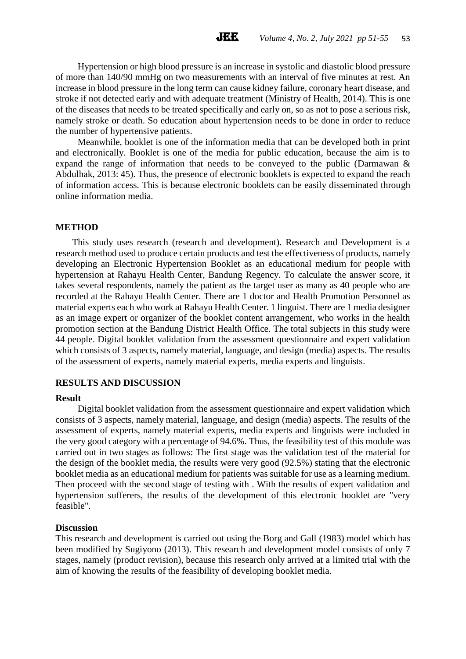Hypertension or high blood pressure is an increase in systolic and diastolic blood pressure of more than 140/90 mmHg on two measurements with an interval of five minutes at rest. An increase in blood pressure in the long term can cause kidney failure, coronary heart disease, and stroke if not detected early and with adequate treatment (Ministry of Health, 2014). This is one of the diseases that needs to be treated specifically and early on, so as not to pose a serious risk, namely stroke or death. So education about hypertension needs to be done in order to reduce the number of hypertensive patients.

Meanwhile, booklet is one of the information media that can be developed both in print and electronically. Booklet is one of the media for public education, because the aim is to expand the range of information that needs to be conveyed to the public (Darmawan & Abdulhak, 2013: 45). Thus, the presence of electronic booklets is expected to expand the reach of information access. This is because electronic booklets can be easily disseminated through online information media.

#### **METHOD**

This study uses research (research and development). Research and Development is a research method used to produce certain products and test the effectiveness of products, namely developing an Electronic Hypertension Booklet as an educational medium for people with hypertension at Rahayu Health Center, Bandung Regency. To calculate the answer score, it takes several respondents, namely the patient as the target user as many as 40 people who are recorded at the Rahayu Health Center. There are 1 doctor and Health Promotion Personnel as material experts each who work at Rahayu Health Center. 1 linguist. There are 1 media designer as an image expert or organizer of the booklet content arrangement, who works in the health promotion section at the Bandung District Health Office. The total subjects in this study were 44 people. Digital booklet validation from the assessment questionnaire and expert validation which consists of 3 aspects, namely material, language, and design (media) aspects. The results of the assessment of experts, namely material experts, media experts and linguists.

#### **RESULTS AND DISCUSSION**

#### **Result**

Digital booklet validation from the assessment questionnaire and expert validation which consists of 3 aspects, namely material, language, and design (media) aspects. The results of the assessment of experts, namely material experts, media experts and linguists were included in the very good category with a percentage of 94.6%. Thus, the feasibility test of this module was carried out in two stages as follows: The first stage was the validation test of the material for the design of the booklet media, the results were very good (92.5%) stating that the electronic booklet media as an educational medium for patients was suitable for use as a learning medium. Then proceed with the second stage of testing with . With the results of expert validation and hypertension sufferers, the results of the development of this electronic booklet are "very feasible".

#### **Discussion**

This research and development is carried out using the Borg and Gall (1983) model which has been modified by Sugiyono (2013). This research and development model consists of only 7 stages, namely (product revision), because this research only arrived at a limited trial with the aim of knowing the results of the feasibility of developing booklet media.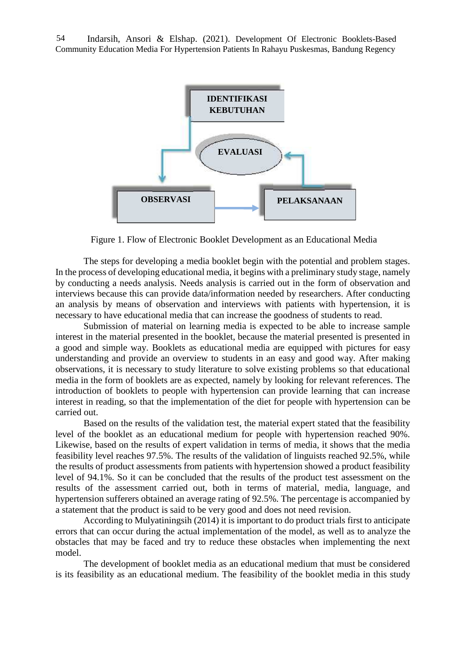Indarsih, Ansori & Elshap. (2021). Development Of Electronic Booklets-Based Community Education Media For Hypertension Patients In Rahayu Puskesmas, Bandung Regency 54



Figure 1. Flow of Electronic Booklet Development as an Educational Media

The steps for developing a media booklet begin with the potential and problem stages. In the process of developing educational media, it begins with a preliminary study stage, namely by conducting a needs analysis. Needs analysis is carried out in the form of observation and interviews because this can provide data/information needed by researchers. After conducting an analysis by means of observation and interviews with patients with hypertension, it is necessary to have educational media that can increase the goodness of students to read.

Submission of material on learning media is expected to be able to increase sample interest in the material presented in the booklet, because the material presented is presented in a good and simple way. Booklets as educational media are equipped with pictures for easy understanding and provide an overview to students in an easy and good way. After making observations, it is necessary to study literature to solve existing problems so that educational media in the form of booklets are as expected, namely by looking for relevant references. The introduction of booklets to people with hypertension can provide learning that can increase interest in reading, so that the implementation of the diet for people with hypertension can be carried out.

Based on the results of the validation test, the material expert stated that the feasibility level of the booklet as an educational medium for people with hypertension reached 90%. Likewise, based on the results of expert validation in terms of media, it shows that the media feasibility level reaches 97.5%. The results of the validation of linguists reached 92.5%, while the results of product assessments from patients with hypertension showed a product feasibility level of 94.1%. So it can be concluded that the results of the product test assessment on the results of the assessment carried out, both in terms of material, media, language, and hypertension sufferers obtained an average rating of 92.5%. The percentage is accompanied by a statement that the product is said to be very good and does not need revision.

According to Mulyatiningsih (2014) it is important to do product trials first to anticipate errors that can occur during the actual implementation of the model, as well as to analyze the obstacles that may be faced and try to reduce these obstacles when implementing the next model.

The development of booklet media as an educational medium that must be considered is its feasibility as an educational medium. The feasibility of the booklet media in this study